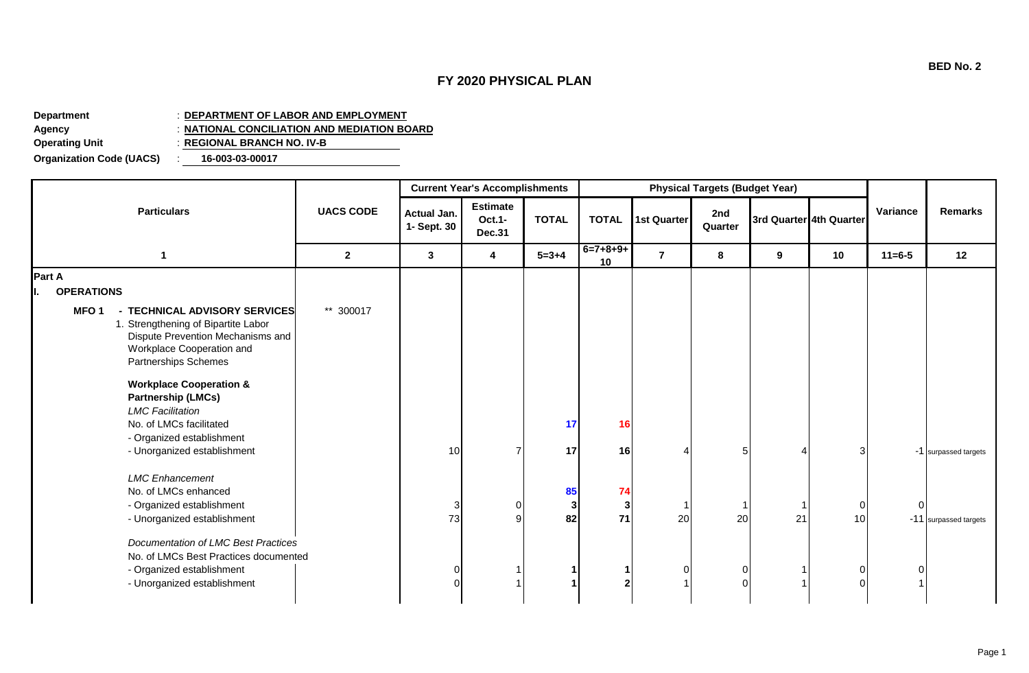## **FY 2020 PHYSICAL PLAN**

**Department** : **DEPARTMENT OF LABOR AND EMPLOYMENT Agency** : **NATIONAL CONCILIATION AND MEDIATION BOARD Operating Unit** : **REGIONAL BRANCH NO. IV-B**

**Organization Code (UACS)** : **16-003-03-00017**

|                                                                                                                                                                                    |                  |                            | <b>Current Year's Accomplishments</b>      |               |                            | <b>Physical Targets (Budget Year)</b> |                |    |                         |              |                       |
|------------------------------------------------------------------------------------------------------------------------------------------------------------------------------------|------------------|----------------------------|--------------------------------------------|---------------|----------------------------|---------------------------------------|----------------|----|-------------------------|--------------|-----------------------|
| <b>Particulars</b>                                                                                                                                                                 | <b>UACS CODE</b> | Actual Jan.<br>1- Sept. 30 | <b>Estimate</b><br>Oct.1-<br><b>Dec.31</b> | <b>TOTAL</b>  | <b>TOTAL</b>               | <b>1st Quarter</b>                    | 2nd<br>Quarter |    | 3rd Quarter 4th Quarter | Variance     | <b>Remarks</b>        |
| $\mathbf 1$                                                                                                                                                                        | $\overline{2}$   | $\mathbf{3}$               | 4                                          | $5 = 3 + 4$   | $6=7+8+9+$<br>10           | $\overline{7}$                        | 8              | 9  | 10                      | $11 = 6 - 5$ | 12                    |
| Part A                                                                                                                                                                             |                  |                            |                                            |               |                            |                                       |                |    |                         |              |                       |
| <b>OPERATIONS</b>                                                                                                                                                                  |                  |                            |                                            |               |                            |                                       |                |    |                         |              |                       |
| MFO <sub>1</sub><br>- TECHNICAL ADVISORY SERVICES<br>1. Strengthening of Bipartite Labor<br>Dispute Prevention Mechanisms and<br>Workplace Cooperation and<br>Partnerships Schemes | ** 300017        |                            |                                            |               |                            |                                       |                |    |                         |              |                       |
| <b>Workplace Cooperation &amp;</b><br><b>Partnership (LMCs)</b><br><b>LMC Facilitation</b>                                                                                         |                  |                            |                                            |               |                            |                                       |                |    |                         |              |                       |
| No. of LMCs facilitated                                                                                                                                                            |                  |                            |                                            | 17            | 16                         |                                       |                |    |                         |              |                       |
| - Organized establishment<br>- Unorganized establishment                                                                                                                           |                  | 10                         |                                            | 17            | 16                         |                                       | 5              |    | 3                       |              | -1 surpassed targets  |
| <b>LMC</b> Enhancement<br>No. of LMCs enhanced<br>- Organized establishment<br>- Unorganized establishment                                                                         |                  | 3<br>73                    | റ                                          | 85<br>3<br>82 | 74<br>3 <sup>1</sup><br>71 | 20                                    | 20             | 21 | $\mathbf 0$<br>10       |              | -11 surpassed targets |
| Documentation of LMC Best Practices<br>No. of LMCs Best Practices documented<br>- Organized establishment<br>- Unorganized establishment                                           |                  |                            |                                            |               |                            |                                       |                |    | 0<br>$\Omega$           |              |                       |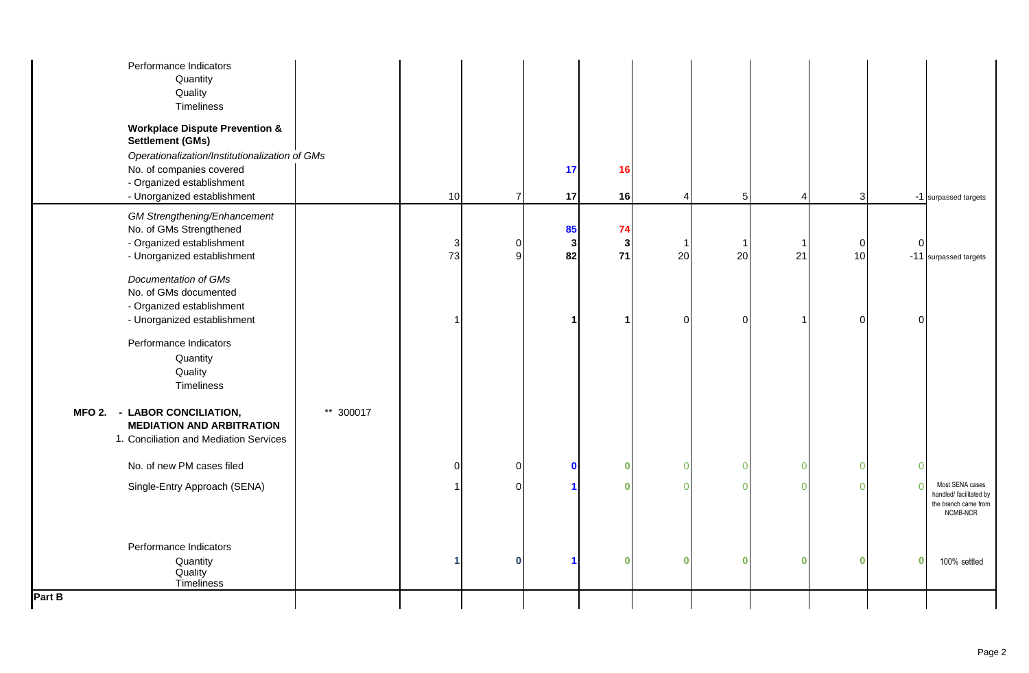| Performance Indicators<br>Quantity<br>Quality<br>Timeliness<br><b>Workplace Dispute Prevention &amp;</b><br><b>Settlement (GMs)</b><br>Operationalization/Institutionalization of GMs<br>No. of companies covered<br>- Organized establishment |           |          |                | 17                | 16                 |    |                 |                |                   |          |                                                                                |
|------------------------------------------------------------------------------------------------------------------------------------------------------------------------------------------------------------------------------------------------|-----------|----------|----------------|-------------------|--------------------|----|-----------------|----------------|-------------------|----------|--------------------------------------------------------------------------------|
| - Unorganized establishment<br><b>GM Strengthening/Enhancement</b><br>No. of GMs Strengthened                                                                                                                                                  |           | 10       | $\overline{7}$ | 17<br>85          | 16<br>74           |    | $5\overline{)}$ |                | 3                 |          | -1 surpassed targets                                                           |
| - Organized establishment<br>- Unorganized establishment                                                                                                                                                                                       |           | 3<br>73  | $\Omega$<br>q  | $\mathbf 3$<br>82 | $\mathbf{3}$<br>71 | 20 | 20              | 21             | $\mathbf 0$<br>10 | $\Omega$ | -11 surpassed targets                                                          |
| Documentation of GMs<br>No. of GMs documented<br>- Organized establishment<br>- Unorganized establishment<br>Performance Indicators<br>Quantity<br>Quality<br>Timeliness                                                                       |           |          |                | -1                |                    |    | $\Omega$        |                | $\Omega$          | ∩        |                                                                                |
| MFO 2. - LABOR CONCILIATION,<br><b>MEDIATION AND ARBITRATION</b><br>1. Conciliation and Mediation Services                                                                                                                                     | ** 300017 |          |                |                   |                    |    |                 |                |                   |          |                                                                                |
| No. of new PM cases filed                                                                                                                                                                                                                      |           | $\Omega$ | $\Omega$       | $\mathbf{0}$      | n                  |    | $\Omega$        | $\overline{0}$ | $\cap$            |          |                                                                                |
| Single-Entry Approach (SENA)                                                                                                                                                                                                                   |           |          | $\Omega$       |                   |                    |    | $\Omega$        | $\overline{0}$ |                   |          | Most SENA cases<br>handled/ facilitated by<br>the branch came from<br>NCMB-NCR |
| Performance Indicators<br>Quantity<br>Quality<br>Timeliness                                                                                                                                                                                    |           |          | $\bf{0}$       |                   | Λ                  |    | $\bf{0}$        | $\bf{0}$       | $\Omega$          | $\Omega$ | 100% settled                                                                   |
| Part B                                                                                                                                                                                                                                         |           |          |                |                   |                    |    |                 |                |                   |          |                                                                                |